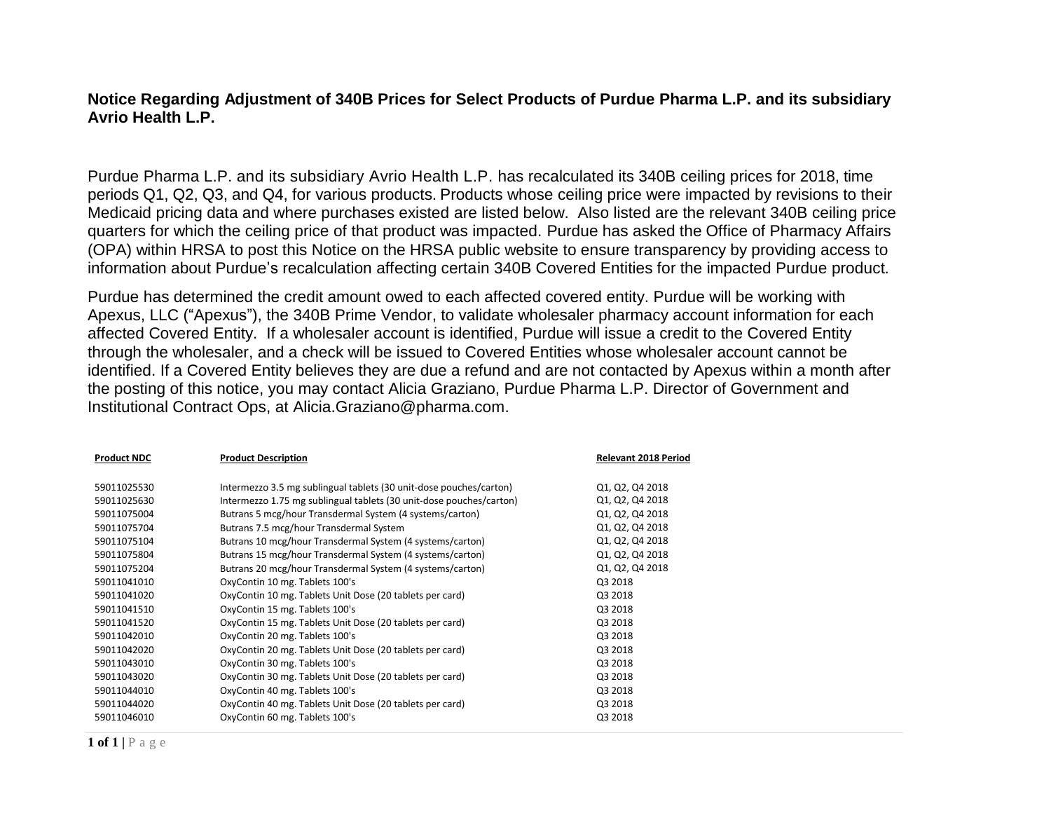## **Notice Regarding Adjustment of 340B Prices for Select Products of Purdue Pharma L.P. and its subsidiary Avrio Health L.P.**

Purdue Pharma L.P. and its subsidiary Avrio Health L.P. has recalculated its 340B ceiling prices for 2018, time periods Q1, Q2, Q3, and Q4, for various products. Products whose ceiling price were impacted by revisions to their Medicaid pricing data and where purchases existed are listed below. Also listed are the relevant 340B ceiling price quarters for which the ceiling price of that product was impacted. Purdue has asked the Office of Pharmacy Affairs (OPA) within HRSA to post this Notice on the HRSA public website to ensure transparency by providing access to information about Purdue's recalculation affecting certain 340B Covered Entities for the impacted Purdue product.

Purdue has determined the credit amount owed to each affected covered entity. Purdue will be working with Apexus, LLC ("Apexus"), the 340B Prime Vendor, to validate wholesaler pharmacy account information for each affected Covered Entity. If a wholesaler account is identified, Purdue will issue a credit to the Covered Entity through the wholesaler, and a check will be issued to Covered Entities whose wholesaler account cannot be identified. If a Covered Entity believes they are due a refund and are not contacted by Apexus within a month after the posting of this notice, you may contact Alicia Graziano, Purdue Pharma L.P. Director of Government and Institutional Contract Ops, at [Alicia.Graziano@pharma.com.](mailto:Alicia.Graziano@pharma.com)

| <b>Product NDC</b> | <b>Product Description</b>                                          | <b>Relevant 2018 Period</b> |
|--------------------|---------------------------------------------------------------------|-----------------------------|
| 59011025530        | Intermezzo 3.5 mg sublingual tablets (30 unit-dose pouches/carton)  | Q1, Q2, Q4 2018             |
| 59011025630        | Intermezzo 1.75 mg sublingual tablets (30 unit-dose pouches/carton) | Q1, Q2, Q4 2018             |
| 59011075004        | Butrans 5 mcg/hour Transdermal System (4 systems/carton)            | Q1, Q2, Q4 2018             |
| 59011075704        | Butrans 7.5 mcg/hour Transdermal System                             | Q1, Q2, Q4 2018             |
| 59011075104        | Butrans 10 mcg/hour Transdermal System (4 systems/carton)           | Q1, Q2, Q4 2018             |
| 59011075804        | Butrans 15 mcg/hour Transdermal System (4 systems/carton)           | Q1, Q2, Q4 2018             |
| 59011075204        | Butrans 20 mcg/hour Transdermal System (4 systems/carton)           | Q1, Q2, Q4 2018             |
| 59011041010        | OxyContin 10 mg. Tablets 100's                                      | Q3 2018                     |
| 59011041020        | OxyContin 10 mg. Tablets Unit Dose (20 tablets per card)            | Q3 2018                     |
| 59011041510        | OxyContin 15 mg. Tablets 100's                                      | Q3 2018                     |
| 59011041520        | OxyContin 15 mg. Tablets Unit Dose (20 tablets per card)            | Q3 2018                     |
| 59011042010        | OxyContin 20 mg. Tablets 100's                                      | Q3 2018                     |
| 59011042020        | OxyContin 20 mg. Tablets Unit Dose (20 tablets per card)            | Q3 2018                     |
| 59011043010        | OxyContin 30 mg. Tablets 100's                                      | Q3 2018                     |
| 59011043020        | OxyContin 30 mg. Tablets Unit Dose (20 tablets per card)            | Q3 2018                     |
| 59011044010        | OxyContin 40 mg. Tablets 100's                                      | Q3 2018                     |
| 59011044020        | OxyContin 40 mg. Tablets Unit Dose (20 tablets per card)            | Q3 2018                     |
| 59011046010        | OxyContin 60 mg. Tablets 100's                                      | Q3 2018                     |